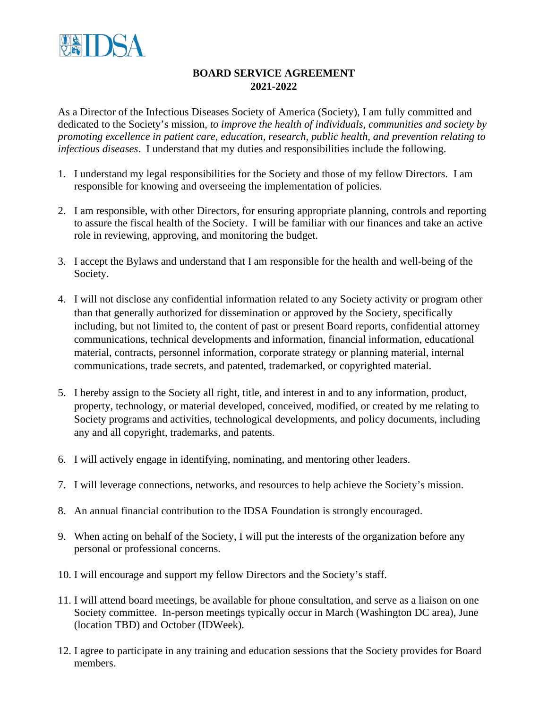

## **BOARD SERVICE AGREEMENT 2021-2022**

As a Director of the Infectious Diseases Society of America (Society), I am fully committed and dedicated to the Society's mission, *to improve the health of individuals, communities and society by promoting excellence in patient care, education, research, public health, and prevention relating to infectious diseases*. I understand that my duties and responsibilities include the following.

- 1. I understand my legal responsibilities for the Society and those of my fellow Directors. I am responsible for knowing and overseeing the implementation of policies.
- 2. I am responsible, with other Directors, for ensuring appropriate planning, controls and reporting to assure the fiscal health of the Society. I will be familiar with our finances and take an active role in reviewing, approving, and monitoring the budget.
- 3. I accept the Bylaws and understand that I am responsible for the health and well-being of the Society.
- 4. I will not disclose any confidential information related to any Society activity or program other than that generally authorized for dissemination or approved by the Society, specifically including, but not limited to, the content of past or present Board reports, confidential attorney communications, technical developments and information, financial information, educational material, contracts, personnel information, corporate strategy or planning material, internal communications, trade secrets, and patented, trademarked, or copyrighted material.
- 5. I hereby assign to the Society all right, title, and interest in and to any information, product, property, technology, or material developed, conceived, modified, or created by me relating to Society programs and activities, technological developments, and policy documents, including any and all copyright, trademarks, and patents.
- 6. I will actively engage in identifying, nominating, and mentoring other leaders.
- 7. I will leverage connections, networks, and resources to help achieve the Society's mission.
- 8. An annual financial contribution to the IDSA Foundation is strongly encouraged.
- 9. When acting on behalf of the Society, I will put the interests of the organization before any personal or professional concerns.
- 10. I will encourage and support my fellow Directors and the Society's staff.
- 11. I will attend board meetings, be available for phone consultation, and serve as a liaison on one Society committee. In-person meetings typically occur in March (Washington DC area), June (location TBD) and October (IDWeek).
- 12. I agree to participate in any training and education sessions that the Society provides for Board members.